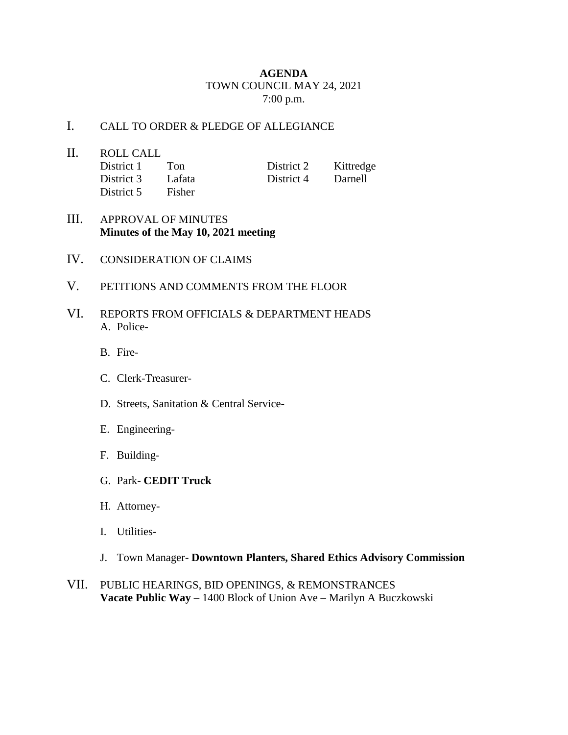## **AGENDA** TOWN COUNCIL MAY 24, 2021 7:00 p.m.

## I. CALL TO ORDER & PLEDGE OF ALLEGIANCE

- II. ROLL CALL District 1 Ton District 2 Kittredge District 3 Lafata District 4 Darnell District 5 Fisher
- III. APPROVAL OF MINUTES **Minutes of the May 10, 2021 meeting**
- IV. CONSIDERATION OF CLAIMS
- V. PETITIONS AND COMMENTS FROM THE FLOOR
- VI. REPORTS FROM OFFICIALS & DEPARTMENT HEADS A. Police-
	- B. Fire-
	- C. Clerk-Treasurer-
	- D. Streets, Sanitation & Central Service-
	- E. Engineering-
	- F. Building-
	- G. Park- **CEDIT Truck**
	- H. Attorney-
	- I. Utilities-
	- J. Town Manager- **Downtown Planters, Shared Ethics Advisory Commission**
- VII. PUBLIC HEARINGS, BID OPENINGS, & REMONSTRANCES **Vacate Public Way** – 1400 Block of Union Ave – Marilyn A Buczkowski